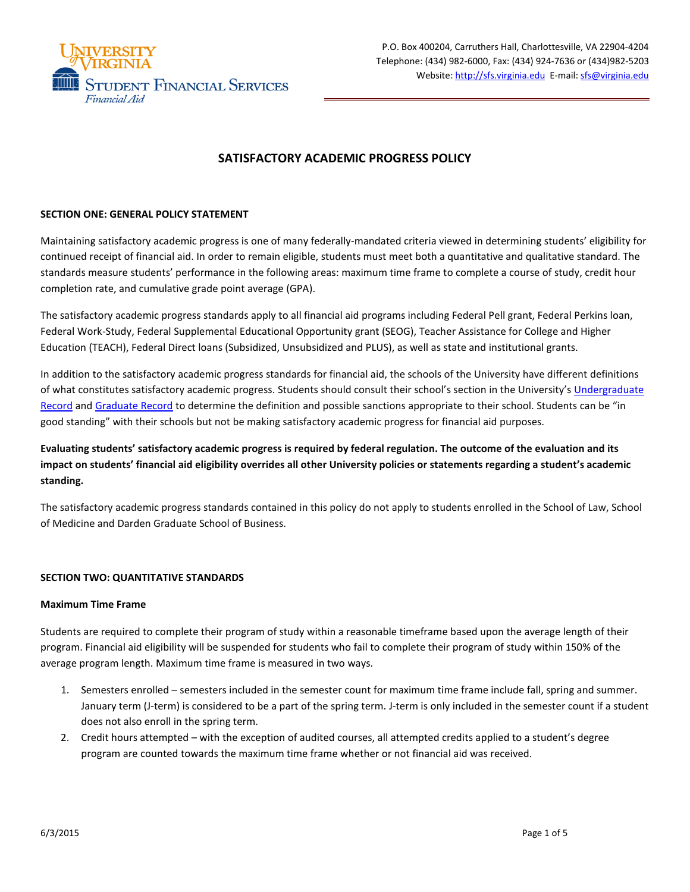

# **SATISFACTORY ACADEMIC PROGRESS POLICY**

## **SECTION ONE: GENERAL POLICY STATEMENT**

Maintaining satisfactory academic progress is one of many federally-mandated criteria viewed in determining students' eligibility for continued receipt of financial aid. In order to remain eligible, students must meet both a quantitative and qualitative standard. The standards measure students' performance in the following areas: maximum time frame to complete a course of study, credit hour completion rate, and cumulative grade point average (GPA).

The satisfactory academic progress standards apply to all financial aid programs including Federal Pell grant, Federal Perkins loan, Federal Work-Study, Federal Supplemental Educational Opportunity grant (SEOG), Teacher Assistance for College and Higher Education (TEACH), Federal Direct loans (Subsidized, Unsubsidized and PLUS), as well as state and institutional grants.

In addition to the satisfactory academic progress standards for financial aid, the schools of the University have different definitions of what constitutes satisfactory academic progress. Students should consult their school's section in the University's [Undergraduate](http://records.ureg.virginia.edu/) [Record](http://records.ureg.virginia.edu/) an[d Graduate Record](http://records.ureg.virginia.edu/index.php?catoid=38) to determine the definition and possible sanctions appropriate to their school. Students can be "in good standing" with their schools but not be making satisfactory academic progress for financial aid purposes.

# **Evaluating students' satisfactory academic progress is required by federal regulation. The outcome of the evaluation and its impact on students' financial aid eligibility overrides all other University policies or statements regarding a student's academic standing.**

The satisfactory academic progress standards contained in this policy do not apply to students enrolled in the School of Law, School of Medicine and Darden Graduate School of Business.

#### **SECTION TWO: QUANTITATIVE STANDARDS**

#### **Maximum Time Frame**

Students are required to complete their program of study within a reasonable timeframe based upon the average length of their program. Financial aid eligibility will be suspended for students who fail to complete their program of study within 150% of the average program length. Maximum time frame is measured in two ways.

- 1. Semesters enrolled semesters included in the semester count for maximum time frame include fall, spring and summer. January term (J-term) is considered to be a part of the spring term. J-term is only included in the semester count if a student does not also enroll in the spring term.
- 2. Credit hours attempted with the exception of audited courses, all attempted credits applied to a student's degree program are counted towards the maximum time frame whether or not financial aid was received.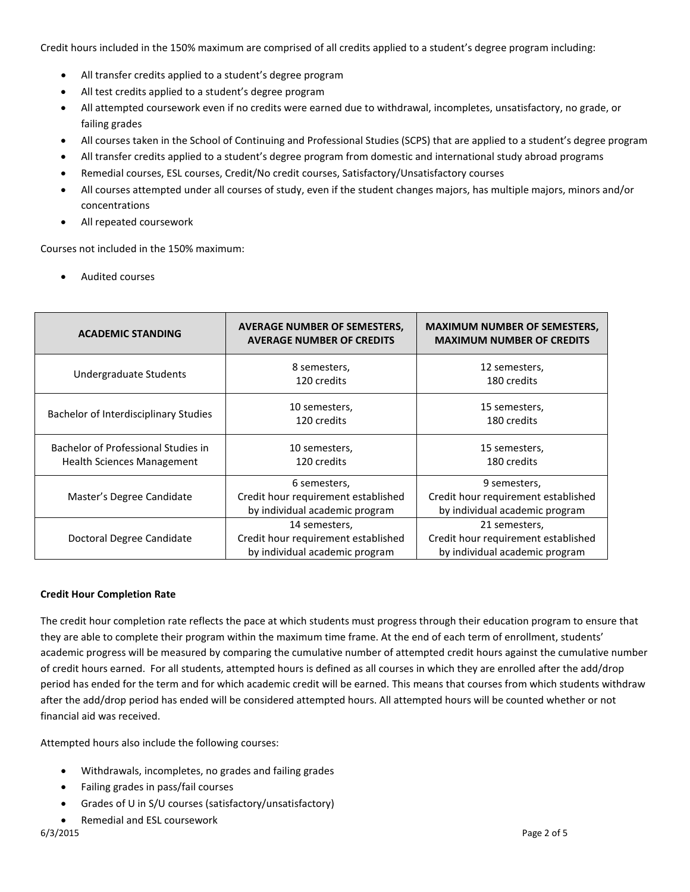Credit hours included in the 150% maximum are comprised of all credits applied to a student's degree program including:

- All transfer credits applied to a student's degree program
- All test credits applied to a student's degree program
- All attempted coursework even if no credits were earned due to withdrawal, incompletes, unsatisfactory, no grade, or failing grades
- All courses taken in the School of Continuing and Professional Studies (SCPS) that are applied to a student's degree program
- All transfer credits applied to a student's degree program from domestic and international study abroad programs
- Remedial courses, ESL courses, Credit/No credit courses, Satisfactory/Unsatisfactory courses
- All courses attempted under all courses of study, even if the student changes majors, has multiple majors, minors and/or concentrations
- All repeated coursework

Courses not included in the 150% maximum:

• Audited courses

| <b>ACADEMIC STANDING</b>                                                 | AVERAGE NUMBER OF SEMESTERS,<br><b>AVERAGE NUMBER OF CREDITS</b>                       | <b>MAXIMUM NUMBER OF SEMESTERS,</b><br><b>MAXIMUM NUMBER OF CREDITS</b>                |
|--------------------------------------------------------------------------|----------------------------------------------------------------------------------------|----------------------------------------------------------------------------------------|
| Undergraduate Students                                                   | 8 semesters,<br>120 credits                                                            | 12 semesters,<br>180 credits                                                           |
| Bachelor of Interdisciplinary Studies                                    | 10 semesters,<br>120 credits                                                           | 15 semesters,<br>180 credits                                                           |
| Bachelor of Professional Studies in<br><b>Health Sciences Management</b> | 10 semesters,<br>120 credits                                                           | 15 semesters,<br>180 credits                                                           |
| Master's Degree Candidate                                                | 6 semesters,<br>Credit hour requirement established<br>by individual academic program  | 9 semesters,<br>Credit hour requirement established<br>by individual academic program  |
| Doctoral Degree Candidate                                                | 14 semesters,<br>Credit hour requirement established<br>by individual academic program | 21 semesters,<br>Credit hour requirement established<br>by individual academic program |

# **Credit Hour Completion Rate**

The credit hour completion rate reflects the pace at which students must progress through their education program to ensure that they are able to complete their program within the maximum time frame. At the end of each term of enrollment, students' academic progress will be measured by comparing the cumulative number of attempted credit hours against the cumulative number of credit hours earned. For all students, attempted hours is defined as all courses in which they are enrolled after the add/drop period has ended for the term and for which academic credit will be earned. This means that courses from which students withdraw after the add/drop period has ended will be considered attempted hours. All attempted hours will be counted whether or not financial aid was received.

Attempted hours also include the following courses:

- Withdrawals, incompletes, no grades and failing grades
- Failing grades in pass/fail courses
- Grades of U in S/U courses (satisfactory/unsatisfactory)
- Remedial and ESL coursework<br>6/3/2015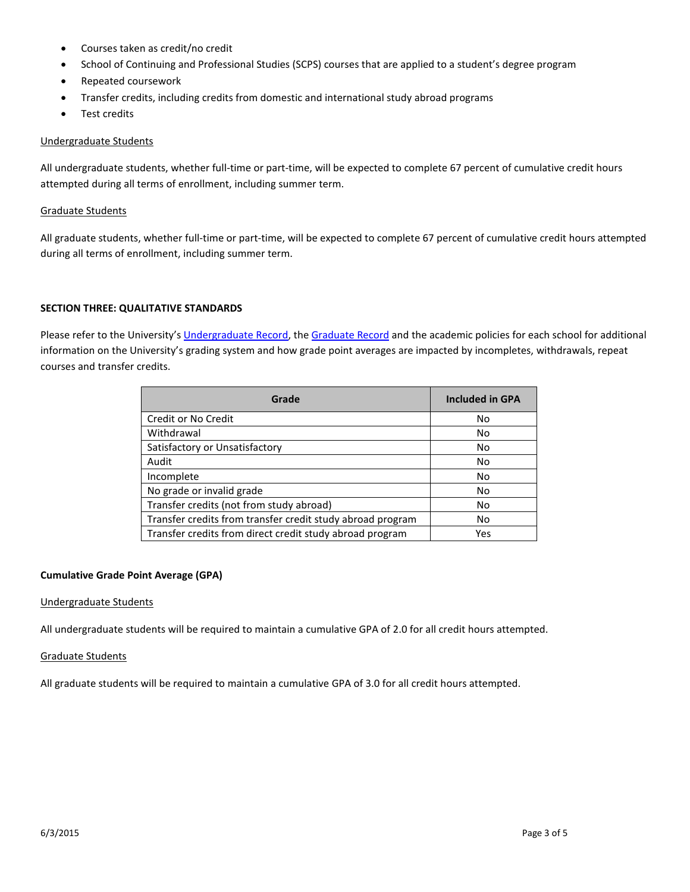- Courses taken as credit/no credit
- School of Continuing and Professional Studies (SCPS) courses that are applied to a student's degree program
- Repeated coursework
- Transfer credits, including credits from domestic and international study abroad programs
- Test credits

## Undergraduate Students

All undergraduate students, whether full-time or part-time, will be expected to complete 67 percent of cumulative credit hours attempted during all terms of enrollment, including summer term.

### Graduate Students

All graduate students, whether full-time or part-time, will be expected to complete 67 percent of cumulative credit hours attempted during all terms of enrollment, including summer term.

### **SECTION THREE: QUALITATIVE STANDARDS**

Please refer to the University's [Undergraduate](http://records.ureg.virginia.edu/index.php?catoid=38) Record, th[e Graduate Record](http://www.ifap.ed.gov/fsahandbook/attachments/1516Vol1Ch1.pdfhttp:/records.ureg.virginia.edu/index.php?catoid=38) and the academic policies for each school for additional information on the University's grading system and how grade point averages are impacted by incompletes, withdrawals, repeat courses and transfer credits.

| Grade                                                      | <b>Included in GPA</b> |
|------------------------------------------------------------|------------------------|
| Credit or No Credit                                        | No                     |
| Withdrawal                                                 | No                     |
| Satisfactory or Unsatisfactory                             | No                     |
| Audit                                                      | No                     |
| Incomplete                                                 | No                     |
| No grade or invalid grade                                  | No                     |
| Transfer credits (not from study abroad)                   | No                     |
| Transfer credits from transfer credit study abroad program | No                     |
| Transfer credits from direct credit study abroad program   | Yes                    |

# **Cumulative Grade Point Average (GPA)**

#### Undergraduate Students

All undergraduate students will be required to maintain a cumulative GPA of 2.0 for all credit hours attempted.

#### Graduate Students

All graduate students will be required to maintain a cumulative GPA of 3.0 for all credit hours attempted.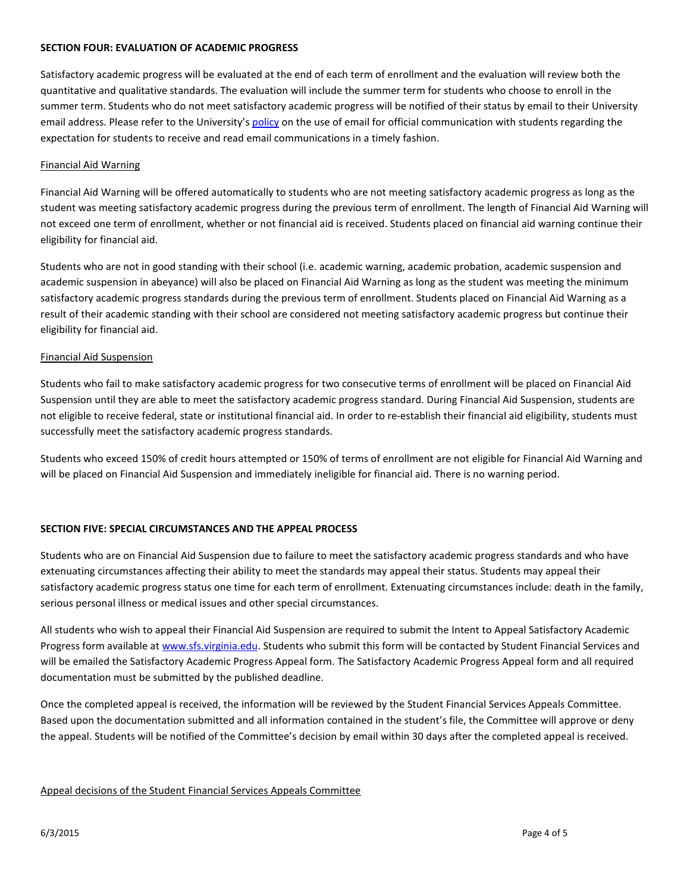### **SECTION FOUR: EVALUATION OF ACADEMIC PROGRESS**

Satisfactory academic progress will be evaluated at the end of each term of enrollment and the evaluation will review both the quantitative and qualitative standards. The evaluation will include the summer term for students who choose to enroll in the summer term. Students who do not meet satisfactory academic progress will be notified of their status by email to their University email address. Please refer to the University's [policy](http://uvapolicy.virginia.edu/policy/IRM-016) on the use of email for official communication with students regarding the expectation for students to receive and read email communications in a timely fashion.

### Financial Aid Warning

Financial Aid Warning will be offered automatically to students who are not meeting satisfactory academic progress as long as the student was meeting satisfactory academic progress during the previous term of enrollment. The length of Financial Aid Warning will not exceed one term of enrollment, whether or not financial aid is received. Students placed on financial aid warning continue their eligibility for financial aid.

Students who are not in good standing with their school (i.e. academic warning, academic probation, academic suspension and academic suspension in abeyance) will also be placed on Financial Aid Warning as long as the student was meeting the minimum satisfactory academic progress standards during the previous term of enrollment. Students placed on Financial Aid Warning as a result of their academic standing with their school are considered not meeting satisfactory academic progress but continue their eligibility for financial aid.

### Financial Aid Suspension

Students who fail to make satisfactory academic progress for two consecutive terms of enrollment will be placed on Financial Aid Suspension until they are able to meet the satisfactory academic progress standard. During Financial Aid Suspension, students are not eligible to receive federal, state or institutional financial aid. In order to re-establish their financial aid eligibility, students must successfully meet the satisfactory academic progress standards.

Students who exceed 150% of credit hours attempted or 150% of terms of enrollment are not eligible for Financial Aid Warning and will be placed on Financial Aid Suspension and immediately ineligible for financial aid. There is no warning period.

# **SECTION FIVE: SPECIAL CIRCUMSTANCES AND THE APPEAL PROCESS**

Students who are on Financial Aid Suspension due to failure to meet the satisfactory academic progress standards and who have extenuating circumstances affecting their ability to meet the standards may appeal their status. Students may appeal their satisfactory academic progress status one time for each term of enrollment. Extenuating circumstances include: death in the family, serious personal illness or medical issues and other special circumstances.

All students who wish to appeal their Financial Aid Suspension are required to submit the Intent to Appeal Satisfactory Academic Progress form available at [www.sfs.virginia.edu.](http://www.sfs.virginia.edu/) Students who submit this form will be contacted by Student Financial Services and will be emailed the Satisfactory Academic Progress Appeal form. The Satisfactory Academic Progress Appeal form and all required documentation must be submitted by the published deadline.

Once the completed appeal is received, the information will be reviewed by the Student Financial Services Appeals Committee. Based upon the documentation submitted and all information contained in the student's file, the Committee will approve or deny the appeal. Students will be notified of the Committee's decision by email within 30 days after the completed appeal is received.

#### Appeal decisions of the Student Financial Services Appeals Committee